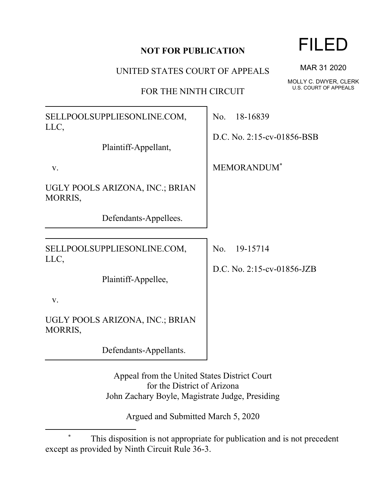## **NOT FOR PUBLICATION**

UNITED STATES COURT OF APPEALS

FOR THE NINTH CIRCUIT

SELLPOOLSUPPLIESONLINE.COM, LLC, Plaintiff-Appellant, v. UGLY POOLS ARIZONA, INC.; BRIAN MORRIS, Defendants-Appellees. No. 18-16839 D.C. No. 2:15-cv-01856-BSB MEMORANDUM\* SELLPOOLSUPPLIESONLINE.COM, LLC, Plaintiff-Appellee, v. UGLY POOLS ARIZONA, INC.; BRIAN MORRIS, Defendants-Appellants. No. 19-15714 D.C. No. 2:15-cv-01856-JZB Appeal from the United States District Court

for the District of Arizona John Zachary Boyle, Magistrate Judge, Presiding

Argued and Submitted March 5, 2020

FILED

MAR 31 2020

MOLLY C. DWYER, CLERK U.S. COURT OF APPEALS

This disposition is not appropriate for publication and is not precedent except as provided by Ninth Circuit Rule 36-3.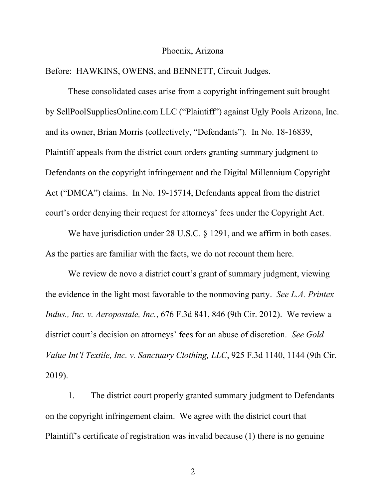## Phoenix, Arizona

Before: HAWKINS, OWENS, and BENNETT, Circuit Judges.

These consolidated cases arise from a copyright infringement suit brought by SellPoolSuppliesOnline.com LLC ("Plaintiff") against Ugly Pools Arizona, Inc. and its owner, Brian Morris (collectively, "Defendants"). In No. 18-16839, Plaintiff appeals from the district court orders granting summary judgment to Defendants on the copyright infringement and the Digital Millennium Copyright Act ("DMCA") claims. In No. 19-15714, Defendants appeal from the district court's order denying their request for attorneys' fees under the Copyright Act.

We have jurisdiction under 28 U.S.C. § 1291, and we affirm in both cases. As the parties are familiar with the facts, we do not recount them here.

We review de novo a district court's grant of summary judgment, viewing the evidence in the light most favorable to the nonmoving party. *See L.A. Printex Indus., Inc. v. Aeropostale, Inc.*, 676 F.3d 841, 846 (9th Cir. 2012). We review a district court's decision on attorneys' fees for an abuse of discretion. *See Gold Value Int'l Textile, Inc. v. Sanctuary Clothing, LLC*, 925 F.3d 1140, 1144 (9th Cir. 2019).

1. The district court properly granted summary judgment to Defendants on the copyright infringement claim. We agree with the district court that Plaintiff's certificate of registration was invalid because (1) there is no genuine

2 a set of  $\sim$  2 a set of  $\sim$  2 a set of  $\sim$  2 a set of  $\sim$  3 a set of  $\sim$  3 a set of  $\sim$  3 a set of  $\sim$  3 a set of  $\sim$  3 a set of  $\sim$  3 a set of  $\sim$  3 a set of  $\sim$  3 a set of  $\sim$  3 a set of  $\sim$  3 a set of  $\sim$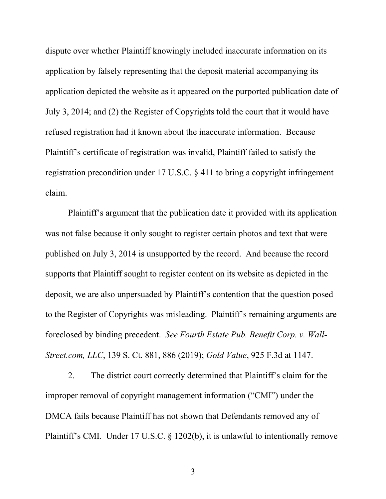dispute over whether Plaintiff knowingly included inaccurate information on its application by falsely representing that the deposit material accompanying its application depicted the website as it appeared on the purported publication date of July 3, 2014; and (2) the Register of Copyrights told the court that it would have refused registration had it known about the inaccurate information. Because Plaintiff's certificate of registration was invalid, Plaintiff failed to satisfy the registration precondition under 17 U.S.C. § 411 to bring a copyright infringement claim.

Plaintiff's argument that the publication date it provided with its application was not false because it only sought to register certain photos and text that were published on July 3, 2014 is unsupported by the record. And because the record supports that Plaintiff sought to register content on its website as depicted in the deposit, we are also unpersuaded by Plaintiff's contention that the question posed to the Register of Copyrights was misleading. Plaintiff's remaining arguments are foreclosed by binding precedent. *See Fourth Estate Pub. Benefit Corp. v. Wall-Street.com, LLC*, 139 S. Ct. 881, 886 (2019); *Gold Value*, 925 F.3d at 1147.

2. The district court correctly determined that Plaintiff's claim for the improper removal of copyright management information ("CMI") under the DMCA fails because Plaintiff has not shown that Defendants removed any of Plaintiff's CMI. Under 17 U.S.C. § 1202(b), it is unlawful to intentionally remove

3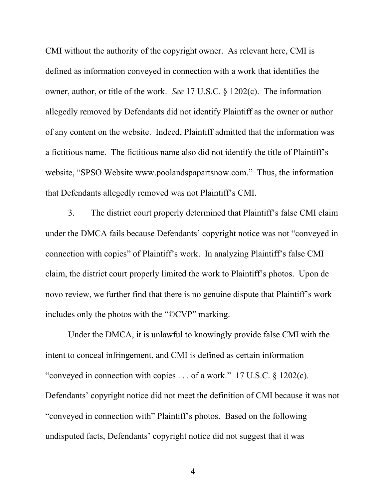CMI without the authority of the copyright owner. As relevant here, CMI is defined as information conveyed in connection with a work that identifies the owner, author, or title of the work. *See* 17 U.S.C. § 1202(c). The information allegedly removed by Defendants did not identify Plaintiff as the owner or author of any content on the website. Indeed, Plaintiff admitted that the information was a fictitious name. The fictitious name also did not identify the title of Plaintiff's website, "SPSO Website www.poolandspapartsnow.com." Thus, the information that Defendants allegedly removed was not Plaintiff's CMI.

3. The district court properly determined that Plaintiff's false CMI claim under the DMCA fails because Defendants' copyright notice was not "conveyed in connection with copies" of Plaintiff's work. In analyzing Plaintiff's false CMI claim, the district court properly limited the work to Plaintiff's photos. Upon de novo review, we further find that there is no genuine dispute that Plaintiff's work includes only the photos with the "©CVP" marking.

Under the DMCA, it is unlawful to knowingly provide false CMI with the intent to conceal infringement, and CMI is defined as certain information "conveyed in connection with copies . . . of a work." 17 U.S.C.  $\S$  1202(c). Defendants' copyright notice did not meet the definition of CMI because it was not "conveyed in connection with" Plaintiff's photos. Based on the following undisputed facts, Defendants' copyright notice did not suggest that it was

4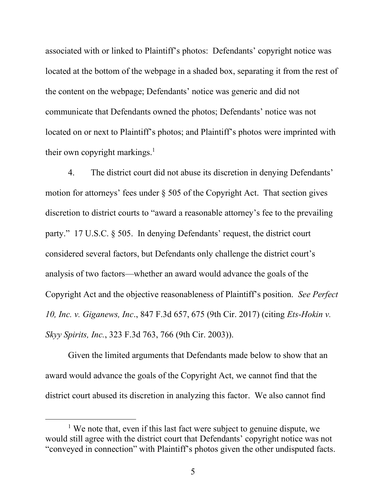associated with or linked to Plaintiff's photos: Defendants' copyright notice was located at the bottom of the webpage in a shaded box, separating it from the rest of the content on the webpage; Defendants' notice was generic and did not communicate that Defendants owned the photos; Defendants' notice was not located on or next to Plaintiff's photos; and Plaintiff's photos were imprinted with their own copyright markings.<sup>1</sup>

4. The district court did not abuse its discretion in denying Defendants' motion for attorneys' fees under § 505 of the Copyright Act. That section gives discretion to district courts to "award a reasonable attorney's fee to the prevailing party." 17 U.S.C. § 505. In denying Defendants' request, the district court considered several factors, but Defendants only challenge the district court's analysis of two factors—whether an award would advance the goals of the Copyright Act and the objective reasonableness of Plaintiff's position. *See Perfect 10, Inc. v. Giganews, Inc*., 847 F.3d 657, 675 (9th Cir. 2017) (citing *Ets-Hokin v. Skyy Spirits, Inc.*, 323 F.3d 763, 766 (9th Cir. 2003)).

Given the limited arguments that Defendants made below to show that an award would advance the goals of the Copyright Act, we cannot find that the district court abused its discretion in analyzing this factor. We also cannot find

<sup>&</sup>lt;sup>1</sup> We note that, even if this last fact were subject to genuine dispute, we would still agree with the district court that Defendants' copyright notice was not "conveyed in connection" with Plaintiff's photos given the other undisputed facts.